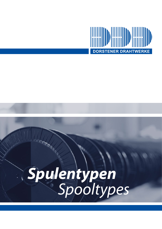

# *Spooltypes Spulentypen*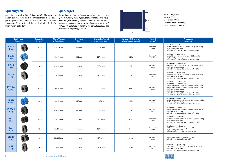#### **Verpackung** *Packaging*

erton / 8 Spulen: 16 kg  $120 \times 80 \times 82$  cm / 60 Kartons / 480 Spulen: 960 kg *• Single box / 8 spools: 16 kg • Pallet 120 x 80 x 82 cm / 60 boxes / 480 spools: 960 kg*

rton / 4 Spulen: 8,8 kg 120 x 80 x 82 cm / 48 Kartons / 192 Spulen: 420 kg *• Single box / 4 spools: 8,8 kg • Pallet 120 x 80 x 82 cm / 48 boxes / 192 spools: 420 kg*

rton / 8 Spulen: 24 kg •Palette 125 x 80 x 96 cm / 64 Kartons / 512 Spulen: 1535 kg *• Single box / 8 spools: 24 kg • Pallet 125 x 80 x 96 cm / 64 boxes / 512 spools: 1535 kg*

erton / 4 Spulen: 16,8 kg  $\frac{1}{10}$  arton / 8 Spulen: 33,6 kg •Palette 120 x 80 x 82 cm / 32 Kartons / 256 Spulen: 1075 kg 120 x 80 x 90 cm / 60 Kartons / 240 Spulen: 1010 kg *• Single box / 4 spools: 16,8 kg • Single box / 8 spools: 33,6 kg • Pallet 120 x 80 x 82 cm / 32 boxes / 256 spools: 1075 kg • Pallet 120 x 80 x 90 cm / 60 boxes / 240 spools: 1010 kg*

• Einzelkarton / 8 Spulen: 21,6 kg 120 x 80 x 82 cm / 48 Kartons / 384 Spulen: 1035 kg *• Single box / 8 spools: 21,6 kg • Pallet 120 x 80 x 82 cm / 48 boxes / 384 spools: 1035 kg*

erton / 3 Spulen: 15 kg 120 x 80 x 89 cm / 60 Kartons / 180 Spulen: 900 kg *• Single box / 3 spools: 15 kg • Pallet 120 x 80 x 89 cm / 60 boxes / 180 spools: 900 kg*

erton / 3 Spulen: 21 kg e 92 x 68 x 52 cm / 72 Spulen: 500 kg *• Single box / 3 spools: 21 kg • Wooden case 92 x 68 x 52 cm / 72 spools: 500 kg*

120 x 80 x 95 cm / 90 Spulen: 990 kg *• Pallet 120 x 80 x 95 cm / 90 spools: 990 kg*

| Spulentypen<br>Spool types    |       | <b>Taragewicht</b><br>Tare weight | Ø Kern / Flansch<br>Ø Core / Flange | Ø Bohrung<br>Ø Bore | Höhe (außen / innen)<br>Height (outer / inner) | Nettogewicht Draht (ca.)<br>Net weight wire (approx.) | <b>Material</b><br><b>Material</b> |                                                                                                                    |
|-------------------------------|-------|-----------------------------------|-------------------------------------|---------------------|------------------------------------------------|-------------------------------------------------------|------------------------------------|--------------------------------------------------------------------------------------------------------------------|
| K135<br>2 kg                  |       | 107 g                             | 56,5/135 mm                         | 16,5 mm             | 48,5/42 mm                                     | 2 kg                                                  | Kunststoff<br>Plastic              | • Einzelka<br>· Palette 1<br>• Single bo<br>· Pallet 12                                                            |
| 5 pds<br>$2,2$ kg             |       | 144 g                             | 88/133 mm                           | 16,5 mm             | 83/70 mm                                       | $2,2$ kg                                              | Kunststoff<br>Plastic              | · Einzelka<br>· Palette 1<br>• Single bo<br>· Pallet 12                                                            |
| D 140<br>2,7 kg               | 148 g |                                   | 89/140 mm                           | 16 mm               | 90/70 mm                                       | 2,7 kg                                                | Kunststoff<br>Plastic              | · Einzelka<br>· Palette 1<br>• Single bo<br>· Pallet 12                                                            |
| <b>N</b> 150<br>3 kg          |       | 125 g                             | 57/150 mm                           | <b>18 mm</b>        | 48/42 mm                                       | 3 kg                                                  | Kunststoff<br>Plastic              | · Einzelka<br>· Palette 1<br>• Single bo<br>· Pallet 12.                                                           |
| K 155/4<br>4,2 kg             |       | 142 g                             | 70/155 mm                           | $17 \, \text{mm}$   | 63/57 mm                                       | 4,2 kg                                                | Kunststoff<br>Plastic              | · Einzelka<br>· Einzelka<br>· Palette 1<br>· Palette 1<br>• Single bo<br>• Single bo<br>· Pallet 12<br>· Pallet 12 |
| 10 pds<br>4,4 kg              |       | 202 g                             | 90/152 mm                           | 16,5 mm             | 101/89 mm                                      | 4,4 kg                                                | Kunststoff<br>Plastic              | · Einzelka<br>· Palette 1<br>• Single bo<br>· Pallet 12.                                                           |
| <b>SD 200 K</b><br>5 kg       |       | 275 g                             | 105/200 mm                          | 50,5 mm             | 55/45 mm                                       | 5 kg                                                  | Kunststoff<br>Plastic              | · Einzelka<br>· Palette 1<br>• Single bo<br>· Pallet 12                                                            |
| N <sub>2</sub><br>6kg         |       | 163 g                             | 57/150 mm                           | 18 mm               | 100/93 mm                                      | 6 kg                                                  | Kunststoff<br>Plastic              | · Einzelka<br>· Palette 1<br>• Single bo<br>· Pallet 12.                                                           |
| <b>K7</b><br>7 kg             |       | 275 g                             | 75/200 mm                           | 67 mm               | 58/50 mm                                       | 7 kg                                                  | Kunststoff<br>Plastic              | · Einzelka<br>· Holzkist<br>• Single bo<br>• Wooden                                                                |
| <b>SJ 200</b><br><b>11 kg</b> |       | 390 g                             | 100/200 mm                          | 46 mm               | 112/100 mm                                     | 11 kg                                                 | Kunststoff<br>Plastic              | • Palette 1<br>· Pallet 12                                                                                         |
| <b>K11</b><br><b>11 kg</b>    |       | 256 g                             | 73/235 mm                           | 67 mm               | 62/56 mm                                       | 11 kg                                                 | Kunststoff<br>Plastic              | · Einzelka<br>· Palette 1<br>• Single bo<br>· Pallet 12                                                            |



rton / 2 Spulen: 22 kg 120 x 80 x 72 cm / 48 Kartons / 96 Spulen: 1055 kg *• Single box / 2 spools: 22 kg • Pallet 120 x 80 x 72 cm / 48 boxes / 96 spools: 1055 kg*



• Einzelkarton / 4 Spulen: 17,6 kg •Palette 125 x 80 x 96 cm / 64 Kartons / 256 Spulen: 1125 kg *• Single box / 4 spools: 17,6 kg • Pallet 125 x 80 x 96 cm / 64 boxes / 256 spools: 1125 kg*

> • Einzelkarton / 4 Spulen: 24 kg 125 x 80 x 96 cm / 64 Kartons / 256 Spulen: 1535 kg *• Single box / 4 spools: 24 kg • Pallet 125 x 80 x 96 cm / 64 boxes / 256 spools: 1535 kg*

## **Spulentypen**

Maschinenart und -größe, Auflagengröße, Platzangebot neben der Maschine und die innerbetrieblichen Transportmöglichkeiten dienen als Auswahlkriterien für den Spulentyp. Gerne helfen wir Ihnen die richtige Spule für Ihren Bedarf zu finden.

### *Spool types*

*Size and type of your equipment, size of the production run, space availability around your stitching machine and equipment and personnel requirements to handle and set up the spools are conditions that serve as selection criteria. We will be happy to assist you in choosing the correct spool size and presentation for your application.*

A = Bohrung / *Bore* B = Kern / *Core* C = Flansch / *Flange*

D = Höhe innen / *Inner height* E = Höhe außen / *Outer height*

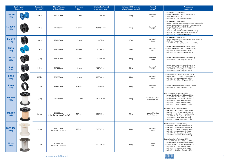|                                 | Spulentypen<br>Spool types | <b>Taragewicht</b><br>Tare weight | Ø Kern / Flansch<br>Ø Core / Flange            | Ø Bohrung<br>Ø Bore | Höhe (außen / innen)<br>Height (outer / inner) | <b>Nettogewicht Draht (ca.)</b><br>Net weight wire (approx.) | <b>Material</b><br>Material               | Verpackung<br>Packaging                                                                                                                                                                                                                                                                                                                                                                                              |
|---------------------------------|----------------------------|-----------------------------------|------------------------------------------------|---------------------|------------------------------------------------|--------------------------------------------------------------|-------------------------------------------|----------------------------------------------------------------------------------------------------------------------------------------------------------------------------------------------------------------------------------------------------------------------------------------------------------------------------------------------------------------------------------------------------------------------|
| <b>DIN 200</b><br><b>13 kg</b>  |                            | 450 g                             | 125/200 mm                                     | 22 mm               | 200/160 mm                                     | 13 kg                                                        | Kunststoff<br>Plastic                     | • Einzelkarton / 1 Spule: 13 kg<br>• Palette 120 x 80 x 112 cm / 75 Spulen: 975 kg<br>• Single box / 1 spool: 13 kg<br>• Pallet 120 x 80 x 112 cm / 75 spools: 975 kg                                                                                                                                                                                                                                                |
| <b>SD 300 K</b><br><b>15 kg</b> |                            | 630 g                             | 211/300 mm                                     | 51,5 mm             | 100/89,5 mm                                    | 15 kg                                                        | Kunststoff<br>Plastic                     | • Einzelkarton / 1 Spule: 15 kg<br>• Palette 110 x 75 x 120 cm / 69 Spulen in Kartons: 1035 kg<br>• Palette 125 x 80 x 96 cm / 64 Spulen in Kartons: 960 kg<br>• Palette 120 x 80 x 78 cm / 66 Spulen: 990 kg<br>• Single box / 1 spool: 15 kg<br>· Pallet 110 x 75 x 120 cm / 69 spools in boxes: 1035 kg<br>• Pallet 125 x 80 x 96 cm / 64 spools in boxes: 960 kg<br>• Pallet 120 x 80 x 78 cm / 66 boxes: 990 kg |
| <b>BM 240</b><br><b>17 kg</b>   |                            | 360 g                             | 103/240 mm                                     | 97 mm               | 100/86 mm                                      | 17 kg                                                        | Kunststoff<br>Plastic                     | • Einzelkarton / 1 Spule: 17 kg<br>• Palette 120 x 80 x 75 cm / 60 Spulen in Kartons: 1020 kg<br>• Single box / 1 spool: 17kg<br>• Pallet 120 x 80 x 75 cm / 60 spools in boxes: 1020 kg                                                                                                                                                                                                                             |
| <b>BB 20</b><br><b>18 kg</b>    |                            | 370 g                             | 110/202 mm                                     | 32,5 mm             | 180/160 mm                                     | 18 kg                                                        | Kunststoff<br>Plastic                     | • Palette 120 x 80 x 89 cm / 60 Spulen: 1080 kg<br>• Palette 110 x 75 x 115 cm / 75 Spulen: 1350 kg<br>● Pallet 120 x 80 x 89 cm / 60 spools: 1080 kg<br>• Pallet 110 x 75 x 115 cm / 75 spools: 1350 kg                                                                                                                                                                                                             |
| <b>DIN 250</b><br><b>22 kg</b>  |                            | 2,4 kg                            | 160/250 mm                                     | 34 mm               | 200/160 mm                                     | 22 kg                                                        | Kunststoff<br>Plastic                     | • Palette 120 x 80 x 92 cm / 48 Spulen: 1055 kg<br>• Pallet 120 x 80 x 92 cm / 48 spools: 1055 kg                                                                                                                                                                                                                                                                                                                    |
| <b>B</b> 60<br><b>32 kg</b>     |                            | 840 g                             | 117/255 mm                                     | 33 mm               | 166/151 mm                                     | 32 kg                                                        | Kunststoff<br>Plastic                     | • Palette 120 x 75 x 64 cm / 36 Spulen: 1150 kg<br>• Palette 110 x 75 x 64 cm / 33 Spulen: 1055 kg<br>• Pallet 120 x 75 x 64 cm / 36 spools: 1150 kg<br>• Pallet $110 \times 75 \times 64$ cm / 33 spools: 1055 kg                                                                                                                                                                                                   |
| K 355<br>45 kg                  |                            | 1,85 kg                           | 224/355 mm                                     | 36 mm               | 200/160 mm                                     | 45 kg                                                        | Kunststoff<br>Plastic                     | • Palette 120 x 80 x 96 cm / 24 Spulen: 1080 kg<br>• Palette 110 x 75 x 135 cm / 36 Spulen: 1620 kg<br>• Pallet 120 x 80 x 96 cm / 24 spools: 1080 kg<br>• Pallet 110 x 75 x 135 cm / 36 spools: 1620 kg                                                                                                                                                                                                             |
| K460<br><b>46 kg</b>            |                            | 2,5 kg                            | 319/460 mm                                     | 305 mm              | 105/91 mm                                      | 46 kg                                                        | Kunststoff<br>Plastic                     | • Palette 120 x 80 x 90 cm / 24 Spulen: 1105 kg<br>• Pallet 120 x 80 x 90 cm / 24 spools: 1105 kg                                                                                                                                                                                                                                                                                                                    |
| <b>MP 100</b><br><b>90 kg</b>   |                            | 2,8 kg                            | 221/355 mm                                     | 127,8 mm            | 350/310 mm                                     | 90 kg                                                        | Kunststoff/Pappkern<br>Plastic/Paper core | Palette (stapelbar) / Pallet (stackable)<br>• Palette 120 x 80 x 50 cm / 6 Spulen: 540 kg<br>• Palette 110 x 75 x 48 cm / 6 Spulen: 540 kg<br>● Palette 113 x 113 x 48 cm / 9 Spulen: 810 kg<br>• Pallet $120 \times 80 \times 50$ cm / 6 spools: 540 kg<br>$\bullet$ Pallet 110 x 75 x 48 cm / 6 spools: 540 kg<br>• Pallet $113 \times 113 \times 48$ cm / 9 spools: 810 kg                                        |
| <b>MK100</b><br><b>90 kg</b>    |                            | 2,8 kg                            | 218/355 mm<br>einfach konisch / single conical | 127 mm              | 350/290 mm                                     | 90 kg                                                        | Kunststoff/Pappkern<br>Plastic/Paper core | Palette (stapelbar) / Pallet (stackable)<br>• Palette 120 x 80 x 50 cm / 6 Spulen: 540 kg<br>• Palette 110 x 75 x 48 cm / 6 Spulen: 540 kg<br>• Palette 113 x 113 x 48 cm / 9 Spulen: 810 kg<br>$\bullet$ Pallet 120 x 80 x 50 cm / 6 spools: 540 kg<br>$\bullet$ Pallet 110 x 75 x 48 cm / 6 spools: 540 kg<br>• Pallet $113 \times 113 \times 48$ cm / 9 spools: 810 kg                                            |
| <b>BICO 100</b><br><b>90 kg</b> |                            | 3,5 kg                            | 215/355 mm<br>bikonisch / biconical            | $127 \text{ mm}$    | 345/243 mm                                     | 90 kg                                                        | Kunststoff<br>Plastic                     | Palette (stapelbar) / Pallet (stackable)<br>• Palette 120 x 80 x 50 cm / 6 Spulen: 540 kg<br>• Palette 110 x 75 x 48 cm / 6 Spulen: 540 kg<br>• Palette 113 x 113 x 48 cm / 9 Spulen: 810 kg<br>$\bullet$ Pallet 120 x 80 x 50 cm / 6 spools: 540 kg<br>$\bullet$ Pallet 110 x 75 x 48 cm / 6 spools: 540 kg<br>● Pallet 113 x 113 x 48 cm / 9 spools: 810 kg                                                        |
| <b>FB 100</b><br><b>90 kg</b>   |                            | 2,7 kg                            | 219/355 mm<br>bikonisch / biconical            |                     | 370/280 mm                                     | 90 kg                                                        | Metall<br>Metal                           | Palette (stapelbar) / Pallet (stackable)<br>● Palette 120 x 80 x 53 cm / 6 Spulen: 540 kg<br>• Palette 110 x 75 x 50 cm / 6 Spulen: 540 kg<br>• Palette 113 x 113 x 50 cm / 9 Spulen: 810 kg<br>● Pallet 120 x 80 x 53 cm / 6 spools: 540 kg<br>$\bullet$ Pallet 110 x 75 x 50 cm / 6 spools: 540 kg<br>· Pallet 113 x 113 x 50 cm / 9 spools: 810 kg                                                                |



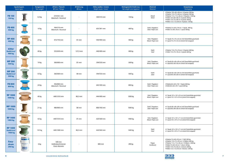|                                                      | Spulentypen<br>Spool types            | <b>Taragewicht</b><br>Tare weight | Ø Kern / Flansch<br>Ø Core / Flange          | Ø Bohrung<br><b>Ø</b> Bore | Höhe (außen / innen)<br>Height (outer / inner) | Nettogewicht Draht (ca.)<br>Net weight wire (approx.) | <b>Material</b><br><b>Material</b>     | Verpackung<br>Packaging                                                                                                                                                                                                                                                                                         |
|------------------------------------------------------|---------------------------------------|-----------------------------------|----------------------------------------------|----------------------------|------------------------------------------------|-------------------------------------------------------|----------------------------------------|-----------------------------------------------------------------------------------------------------------------------------------------------------------------------------------------------------------------------------------------------------------------------------------------------------------------|
| <b>FB 150</b><br><b>150 kg</b>                       |                                       | 3,3 kg                            | 219/355 mm<br>bikonisch / biconical          |                            | 500/410 mm                                     | 150 kg                                                | Metall<br>Metal                        | • Palette 120 x 80 x 68 cm / 6 Spulen: 900 kg<br>• Palette 110 x 75 x 68 cm / 6 Spulen: 900 kg<br>• Palette 113 x 113 x 66 cm / 9 Spulen: 1350 kg<br>• Pallet 120 x 80 x 68 cm / 6 spools: 900 kg<br>· Pallet 110 x 75 x 68 cm / 6 spools: 900 kg<br>• Pallet $113 \times 113 \times 66$ cm / 9 spools: 1350 kg |
| <b>FB 400</b><br>400 kg                              |                                       | 10 kg                             | 300/570 mm<br>bikonisch / biconical          |                            | 635/381 mm                                     | 400 kg                                                | Stahl / Pappkern<br>Steel / Paper core | • Palette 72 x 60 x 78 cm / 1 Spule: 400 kg<br>· Pallet 72 x 60 x 78 cm / 1 spool: 400 kg                                                                                                                                                                                                                       |
| <b>RP 400</b><br>400 kg                              |                                       | 23 kg                             | 472/750 mm                                   | 81 mm                      | 444/400 mm                                     | 400 kg                                                | Holz / Pappkern<br>Wood / Paper core   | · 1 Spule 75 x 75 x 53 cm (mit Stretchfolie geschützt)<br>• 1 spool 75 x 75 x 53 cm (stretch foil wrapped)                                                                                                                                                                                                      |
| <b>630er</b><br><b>Stahl/steel</b><br>400 kg         |                                       | 40 kg                             | 355/630 mm                                   | 127,3 mm                   | 440/400 mm                                     | 400 kg                                                | Stahl<br>Steel                         | • Palette 110 x 75 x 76 cm / 2 Spulen: 800 kg<br>$\bullet$ Pallet 110 x 75 x 76 cm / 2 spools: 800 kg                                                                                                                                                                                                           |
| <b>MP 500</b><br><b>500 kg</b>                       | $-71 -$                               | 19 kg                             | 360/600 mm                                   | 81 mm                      | 594/550 mm                                     | 500 kg                                                | Holz / Pappkern<br>Wood / Paper core   | · 1 Spule 60 x 60 x 69 cm (mit Stretchfolie geschützt)<br>• 1 spool 60 x 60 x 69 cm (stretch foil wrapped)                                                                                                                                                                                                      |
| <b>MP 500</b><br><b>Stahl/steel</b><br><b>500 kg</b> | $-7$                                  | 53 kg                             | 360/600 mm                                   | 80 mm                      | 594/550 mm                                     | 500 kg                                                | Stahl<br>Steel                         | · 1 Spule 60 x 60 x 69 cm (mit Stretchfolie geschützt)<br>• 1 spool 60 x 60 x 69 cm (stretch foil wrapped)                                                                                                                                                                                                      |
| <b>FB 800</b><br>800 kg                              |                                       | 24 kg                             | 450/800 mm<br>bikonisch / biconical          |                            | 645/300 mm                                     | 800 kg                                                | Stahl / Pappkern<br>Steel / Paper core | • Palette 82 x 82 x 78 / 1 Spule: 800 kg<br>· Pallet 82 x 82 x 78 / 1 spool: 800 kg                                                                                                                                                                                                                             |
| <b>RP 1000</b><br>1000 kg                            |                                       | 40 kg                             | 640/1010 mm                                  | 80,5 mm                    | 444/400 mm                                     | 1000 kg                                               | Holz / Pappkern<br>Wood / Paper core   | · 1 Spule 101 x 101 x 55 cm (mit Stretchfolie geschützt)<br>• 1 spool 101 x 101 x 55 cm (stretch foil wrapped)                                                                                                                                                                                                  |
| <b>MP 1000</b><br>1000 kg                            |                                       | 21 kg                             | 480/800 mm                                   | 80 mm                      | 800/760 mm                                     | 1000 kg                                               | Stahl / Pappkern<br>Steel / Paper core | · 1 Spule 80 x 80 x 89 cm (mit Stretchfolie geschützt)<br>● 1 spool 80 x 80 x 89 cm (stretch foil wrapped)                                                                                                                                                                                                      |
| <b>RP 1400</b><br>1400 kg                            |                                       | 42 kg                             | 640/1010 mm                                  | 81 mm                      | 620/560 mm                                     | 1400 kg                                               | Holz / Pappkern<br>Wood / Paper core   | · 1 Spule 101 x 101 x 71 cm (mit Stretchfolie geschützt)<br>• 1 spool 101 x 101 x 71 cm (stretch foil wrapped)                                                                                                                                                                                                  |
| <b>RP 1400</b><br><b>Stahl/steel</b><br>1400 kg      |                                       | 125 kg                            | 640/1000 mm                                  | 80,5 mm                    | 620/560 mm                                     | 1400 kg                                               | Stahl<br>Steel                         | · 1 Spule 101 x 101 x 71 cm (mit Stretchfolie geschützt)<br>• 1 spool 101 x 101 x 71 cm (stretch foil wrapped)                                                                                                                                                                                                  |
| Easy-<br>drum<br><b>290 kg</b>                       | <b>Service Controller</b><br>EASYDRUM | 6 kg                              | 500 mm<br>Außendurchmesser<br>Outer diameter |                            | 800 mm                                         | 290 kg                                                | Pappe<br>Cardboard                     | • Palette 72 x 60 x 92 cm / 1 Faß: 300 kg<br>· Palette 110 x 75 x 92 cm / 2 Fäßern: 600 kg<br>· Palette 113 x 113 x 92 cm / 4 Fäßern: 1200 kg<br>● Pallet 72 x 60 x 92 cm / 1 drum: 300 kg<br>● Pallet 110 x 75 x 92 cm / 2 drums: 600 kg<br>● Pallet 113 x 113 x 92 cm / 4 drums: 1200 kg                      |